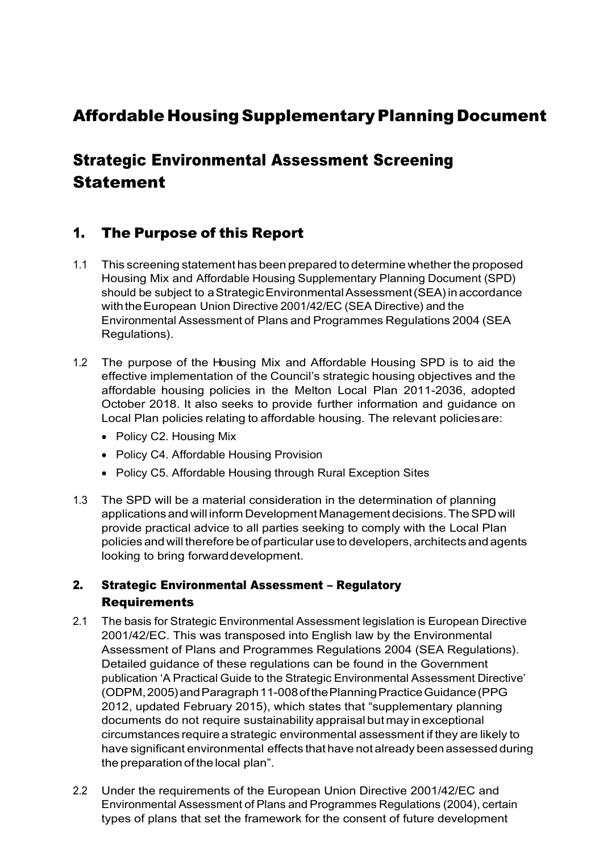# Affordable Housing Supplementary Planning Document

# Strategic Environmental Assessment Screening **Statement**

## 1. The Purpose of this Report

- 1.1 This screening statement has been prepared to determine whetherthe proposed Housing Mix and Affordable Housing Supplementary Planning Document (SPD) should be subject to a Strategic Environmental Assessment (SEA) in accordance with the European Union Directive 2001/42/EC (SEA Directive) and the Environmental Assessment of Plans and Programmes Regulations 2004 (SEA Regulations).
- 1.2 The purpose of the Housing Mix and Affordable Housing SPD is to aid the effective implementation of the Council's strategic housing objectives and the affordable housing policies in the Melton Local Plan 2011-2036, adopted October 2018. It also seeks to provide further information and guidance on Local Plan policies relating to affordable housing. The relevant policiesare:
	- Policy C2. Housing Mix
	- Policy C4. Affordable Housing Provision
	- Policy C5. Affordable Housing through Rural Exception Sites
- 1.3 The SPD will be a material consideration in the determination of planning applications and will inform Development Managementdecisions.TheSPDwill provide practical advice to all parties seeking to comply with the Local Plan policies and will therefore be of particular use to developers, architects and agents looking to bring forwarddevelopment.

### 2. Strategic Environmental Assessment – Regulatory Requirements

- 2.1 The basis for Strategic Environmental Assessment legislation is European Directive 2001/42/EC. This was transposed into English law by the Environmental Assessment of Plans and Programmes Regulations 2004 (SEA Regulations). Detailed guidance of these regulations can be found in the Government publication 'A Practical Guide to the Strategic Environmental Assessment Directive' (ODPM,2005)andParagraph11-008ofthePlanningPracticeGuidance(PPG 2012, updated February 2015), which states that "supplementary planning documents do not require sustainability appraisal butmay in exceptional circumstances require a strategic environmental assessment if they are likely to have significant environmental effects that have not already been assessed during the preparation of the local plan".
- 2.2 Under the requirements of the European Union Directive 2001/42/EC and Environmental Assessment of Plans and Programmes Regulations (2004), certain types of plans that set the framework for the consent of future development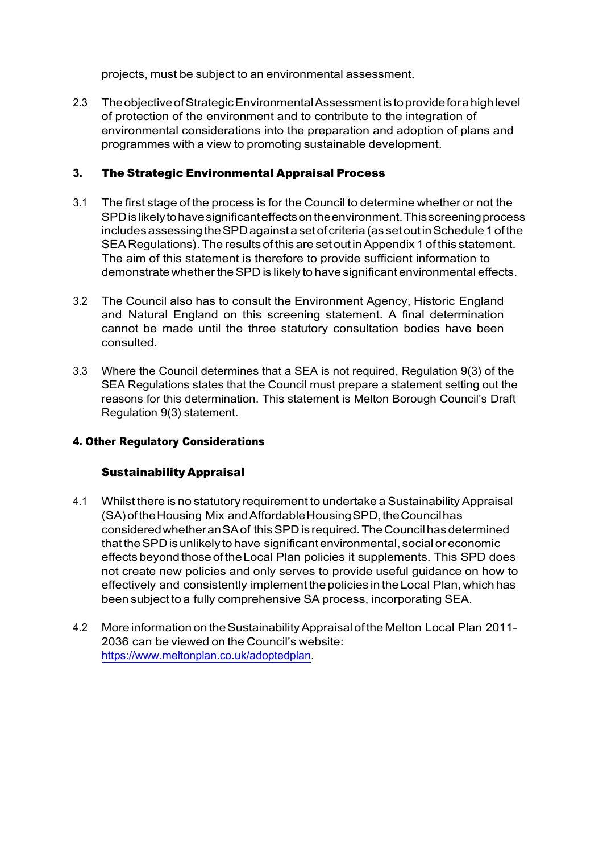projects, must be subject to an environmental assessment.

2.3 TheobjectiveofStrategicEnvironmentalAssessmentistoprovideforahighlevel of protection of the environment and to contribute to the integration of environmental considerations into the preparation and adoption of plans and programmes with a view to promoting sustainable development.

#### 3. The Strategic Environmental Appraisal Process

- 3.1 The first stage of the process is for the Council to determine whether or not the SPDislikelytohavesignificanteffectsontheenvironment.Thisscreeningprocess includes assessing the SPD against a set of criteria (as set out in Schedule 1 of the SEA Regulations).The results of this are set outinAppendix 1 of this statement. The aim of this statement is therefore to provide sufficient information to demonstrate whether the SPD is likely to have significant environmental effects.
- 3.2 The Council also has to consult the Environment Agency, Historic England and Natural England on this screening statement. A final determination cannot be made until the three statutory consultation bodies have been consulted.
- 3.3 Where the Council determines that a SEA is not required, Regulation 9(3) of the SEA Regulations states that the Council must prepare a statement setting out the reasons for this determination. This statement is Melton Borough Council's Draft Regulation 9(3) statement.

### 4. Other Regulatory Considerations

#### Sustainability Appraisal

- 4.1 Whilst there is no statutory requirement to undertake a Sustainability Appraisal (SA) of the Housing Mix and Affordable Housing SPD, the Council has consideredwhetheranSAof thisSPDis required.TheCouncilhasdetermined thattheSPDisunlikely tohave significantenvironmental, social or economic effects beyond those oftheLocal Plan policies it supplements. This SPD does not create new policies and only serves to provide useful guidance on how to effectively and consistently implement the policies in the Local Plan, which has been subject to a fully comprehensive SA process, incorporating SEA.
- 4.2 Moreinformation on theSustainabilityAppraisal oftheMelton Local Plan 2011- 2036 can be viewed on the Council's website: [https://www.meltonplan.co.uk/adoptedplan.](https://www.meltonplan.co.uk/adoptedplan)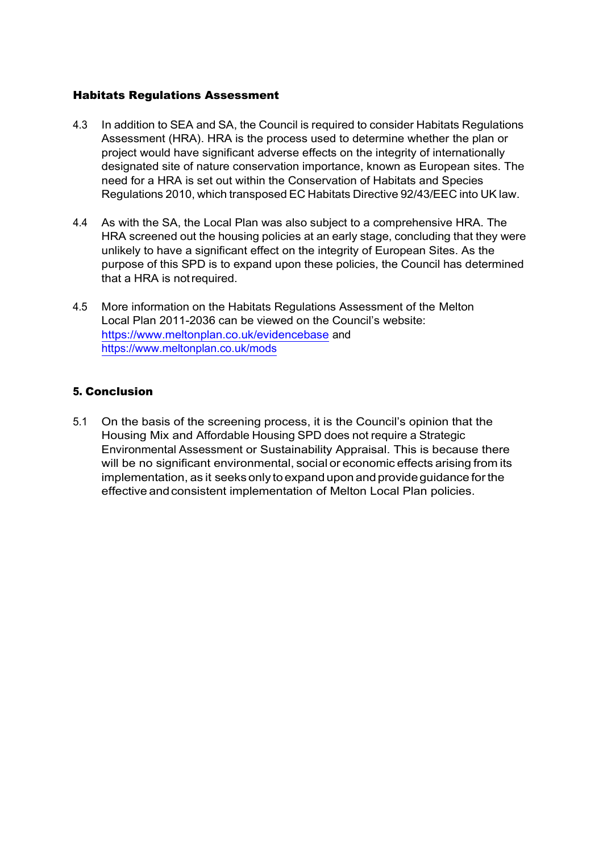#### Habitats Regulations Assessment

- 4.3 In addition to SEA and SA, the Council is required to consider Habitats Regulations Assessment (HRA). HRA is the process used to determine whether the plan or project would have significant adverse effects on the integrity of internationally designated site of nature conservation importance, known as European sites. The need for a HRA is set out within the Conservation of Habitats and Species Regulations 2010, which transposed EC Habitats Directive 92/43/EEC into UK law.
- 4.4 As with the SA, the Local Plan was also subject to a comprehensive HRA. The HRA screened out the housing policies at an early stage, concluding that they were unlikely to have a significant effect on the integrity of European Sites. As the purpose of this SPD is to expand upon these policies, the Council has determined that a HRA is notrequired.
- 4.5 More information on the Habitats Regulations Assessment of the Melton Local Plan 2011-2036 can be viewed on the Council's website: <https://www.meltonplan.co.uk/evidencebase> and <https://www.meltonplan.co.uk/mods>

#### 5. Conclusion

5.1 On the basis of the screening process, it is the Council's opinion that the Housing Mix and Affordable Housing SPD does not require a Strategic Environmental Assessment or Sustainability Appraisal. This is because there will be no significant environmental, social or economic effects arising from its implementation, as it seeks only to expand upon and provideguidance forthe effective and consistent implementation of Melton Local Plan policies.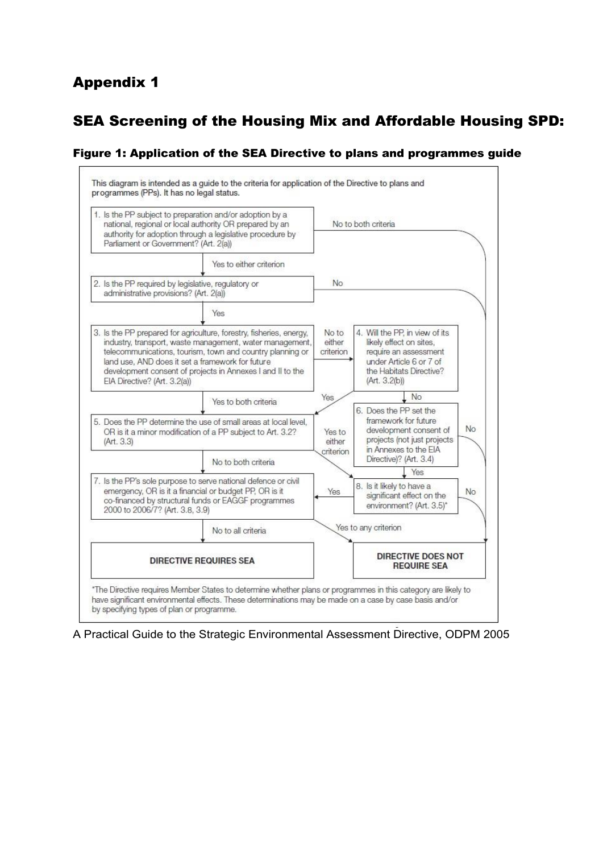## Appendix 1

## SEA Screening of the Housing Mix and Affordable Housing SPD:

#### Figure 1: Application of the SEA Directive to plans and programmes guide



A Practical Guide to the Strategic Environmental Assessment Directive, ODPM 2005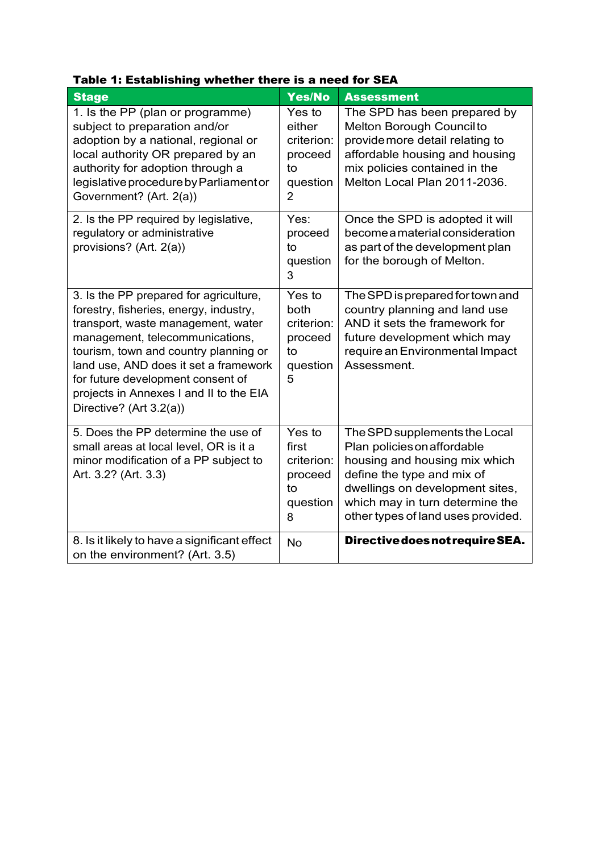| <b>Stage</b>                                                                                                                                                                                                                                                                                                                                           | Yes/No                                                                        | <b>Assessment</b>                                                                                                                                                                                                                       |
|--------------------------------------------------------------------------------------------------------------------------------------------------------------------------------------------------------------------------------------------------------------------------------------------------------------------------------------------------------|-------------------------------------------------------------------------------|-----------------------------------------------------------------------------------------------------------------------------------------------------------------------------------------------------------------------------------------|
| 1. Is the PP (plan or programme)<br>subject to preparation and/or<br>adoption by a national, regional or<br>local authority OR prepared by an<br>authority for adoption through a<br>legislative procedure by Parliament or<br>Government? (Art. 2(a))                                                                                                 | Yes to<br>either<br>criterion:<br>proceed<br>to<br>question<br>$\overline{2}$ | The SPD has been prepared by<br>Melton Borough Council to<br>provide more detail relating to<br>affordable housing and housing<br>mix policies contained in the<br>Melton Local Plan 2011-2036.                                         |
| 2. Is the PP required by legislative,<br>regulatory or administrative<br>provisions? (Art. 2(a))                                                                                                                                                                                                                                                       | Yes:<br>proceed<br>to<br>question<br>3                                        | Once the SPD is adopted it will<br>become a material consideration<br>as part of the development plan<br>for the borough of Melton.                                                                                                     |
| 3. Is the PP prepared for agriculture,<br>forestry, fisheries, energy, industry,<br>transport, waste management, water<br>management, telecommunications,<br>tourism, town and country planning or<br>land use, AND does it set a framework<br>for future development consent of<br>projects in Annexes I and II to the EIA<br>Directive? (Art 3.2(a)) | Yes to<br>both<br>criterion:<br>proceed<br>to<br>question<br>5                | The SPD is prepared for town and<br>country planning and land use<br>AND it sets the framework for<br>future development which may<br>require an Environmental Impact<br>Assessment.                                                    |
| 5. Does the PP determine the use of<br>small areas at local level, OR is it a<br>minor modification of a PP subject to<br>Art. 3.2? (Art. 3.3)                                                                                                                                                                                                         | Yes to<br>first<br>criterion:<br>proceed<br>to<br>question<br>8               | The SPD supplements the Local<br>Plan policies on affordable<br>housing and housing mix which<br>define the type and mix of<br>dwellings on development sites,<br>which may in turn determine the<br>other types of land uses provided. |
| 8. Is it likely to have a significant effect<br>on the environment? (Art. 3.5)                                                                                                                                                                                                                                                                         | <b>No</b>                                                                     | Directive does not require SEA.                                                                                                                                                                                                         |

### Table 1: Establishing whether there is a need for SEA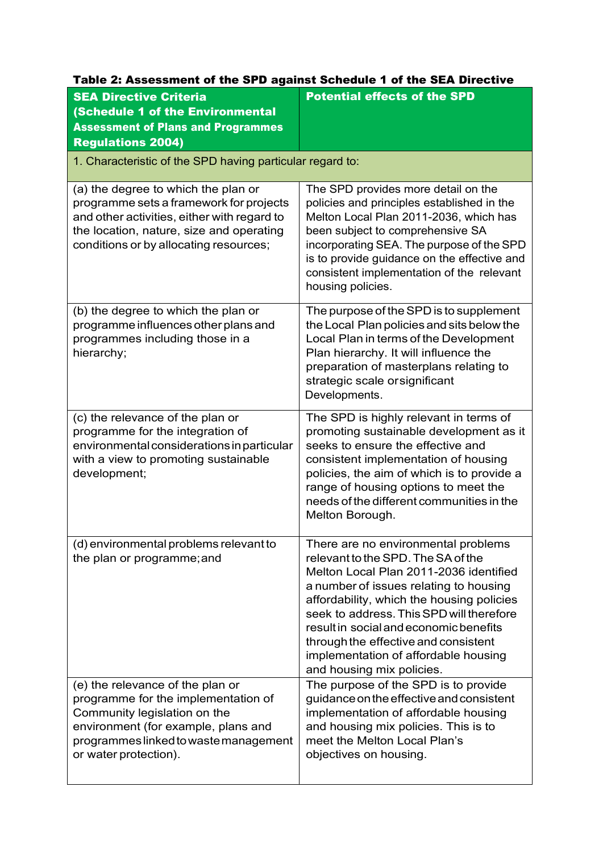| <b>SEA Directive Criteria</b>                                                                                                                                                                                       | <b>Potential effects of the SPD</b>                                                                                                                                                                                                                                                                                                                                                                           |  |
|---------------------------------------------------------------------------------------------------------------------------------------------------------------------------------------------------------------------|---------------------------------------------------------------------------------------------------------------------------------------------------------------------------------------------------------------------------------------------------------------------------------------------------------------------------------------------------------------------------------------------------------------|--|
| <b>(Schedule 1 of the Environmental</b><br><b>Assessment of Plans and Programmes</b>                                                                                                                                |                                                                                                                                                                                                                                                                                                                                                                                                               |  |
| <b>Regulations 2004)</b>                                                                                                                                                                                            |                                                                                                                                                                                                                                                                                                                                                                                                               |  |
| 1. Characteristic of the SPD having particular regard to:                                                                                                                                                           |                                                                                                                                                                                                                                                                                                                                                                                                               |  |
| (a) the degree to which the plan or<br>programme sets a framework for projects<br>and other activities, either with regard to<br>the location, nature, size and operating<br>conditions or by allocating resources; | The SPD provides more detail on the<br>policies and principles established in the<br>Melton Local Plan 2011-2036, which has<br>been subject to comprehensive SA<br>incorporating SEA. The purpose of the SPD<br>is to provide guidance on the effective and<br>consistent implementation of the relevant<br>housing policies.                                                                                 |  |
| (b) the degree to which the plan or<br>programme influences other plans and<br>programmes including those in a<br>hierarchy;                                                                                        | The purpose of the SPD is to supplement<br>the Local Plan policies and sits below the<br>Local Plan in terms of the Development<br>Plan hierarchy. It will influence the<br>preparation of masterplans relating to<br>strategic scale or significant<br>Developments.                                                                                                                                         |  |
| (c) the relevance of the plan or<br>programme for the integration of<br>environmental considerations in particular<br>with a view to promoting sustainable<br>development;                                          | The SPD is highly relevant in terms of<br>promoting sustainable development as it<br>seeks to ensure the effective and<br>consistent implementation of housing<br>policies, the aim of which is to provide a<br>range of housing options to meet the<br>needs of the different communities in the<br>Melton Borough.                                                                                          |  |
| (d) environmental problems relevant to<br>the plan or programme; and                                                                                                                                                | There are no environmental problems<br>relevant to the SPD. The SA of the<br>Melton Local Plan 2011-2036 identified<br>a number of issues relating to housing<br>affordability, which the housing policies<br>seek to address. This SPD will therefore<br>result in social and economic benefits<br>through the effective and consistent<br>implementation of affordable housing<br>and housing mix policies. |  |
| (e) the relevance of the plan or<br>programme for the implementation of<br>Community legislation on the<br>environment (for example, plans and<br>programmes linked to waste management<br>or water protection).    | The purpose of the SPD is to provide<br>guidance on the effective and consistent<br>implementation of affordable housing<br>and housing mix policies. This is to<br>meet the Melton Local Plan's<br>objectives on housing.                                                                                                                                                                                    |  |